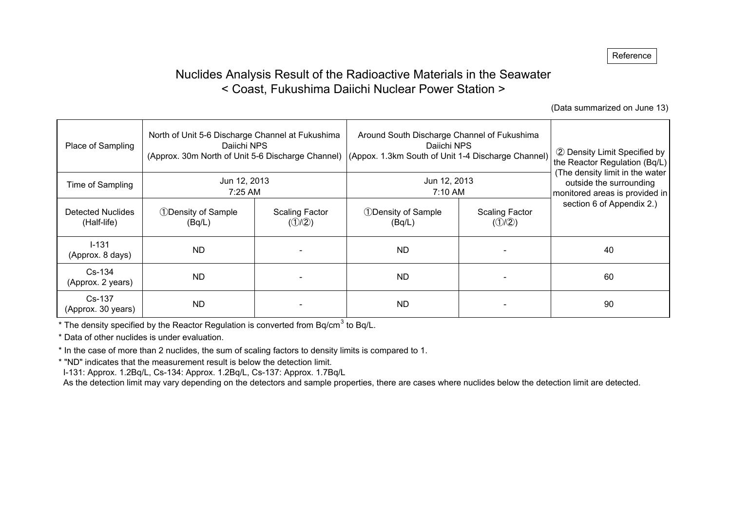# Nuclides Analysis Result of the Radioactive Materials in the Seawater < Coast, Fukushima Daiichi Nuclear Power Station >

(Data summarized on June 13)

| Place of Sampling                       | North of Unit 5-6 Discharge Channel at Fukushima<br>Daiichi NPS<br>(Approx. 30m North of Unit 5-6 Discharge Channel) |                                                              | Around South Discharge Channel of Fukushima<br>Daiichi NPS<br>(Appox. 1.3km South of Unit 1-4 Discharge Channel) | 2 Density Limit Specified by<br>the Reactor Regulation (Bq/L)<br>(The density limit in the water |                           |  |
|-----------------------------------------|----------------------------------------------------------------------------------------------------------------------|--------------------------------------------------------------|------------------------------------------------------------------------------------------------------------------|--------------------------------------------------------------------------------------------------|---------------------------|--|
| Time of Sampling                        | Jun 12, 2013<br>7:25 AM                                                                                              |                                                              | Jun 12, 2013<br>7:10 AM                                                                                          | outside the surrounding<br>monitored areas is provided in                                        |                           |  |
| <b>Detected Nuclides</b><br>(Half-life) | <b>1</b> Density of Sample<br>(Bq/L)                                                                                 | <b>1</b> Density of Sample<br><b>Scaling Factor</b><br>(1/2) |                                                                                                                  | <b>Scaling Factor</b><br>$(\mathcal{D}/\mathcal{D})$                                             | section 6 of Appendix 2.) |  |
| $1 - 131$<br>(Approx. 8 days)           | <b>ND</b>                                                                                                            |                                                              | <b>ND</b>                                                                                                        |                                                                                                  | 40                        |  |
| $Cs-134$<br>(Approx. 2 years)           | <b>ND</b>                                                                                                            |                                                              | <b>ND</b>                                                                                                        |                                                                                                  | 60                        |  |
| Cs-137<br>(Approx. 30 years)            | <b>ND</b>                                                                                                            |                                                              | ND.                                                                                                              |                                                                                                  | 90                        |  |

\* The density specified by the Reactor Regulation is converted from Bq/cm<sup>3</sup> to Bq/L.

\* Data of other nuclides is under evaluation.

\* In the case of more than 2 nuclides, the sum of scaling factors to density limits is compared to 1.

\* "ND" indicates that the measurement result is below the detection limit.

I-131: Approx. 1.2Bq/L, Cs-134: Approx. 1.2Bq/L, Cs-137: Approx. 1.7Bq/L

As the detection limit may vary depending on the detectors and sample properties, there are cases where nuclides below the detection limit are detected.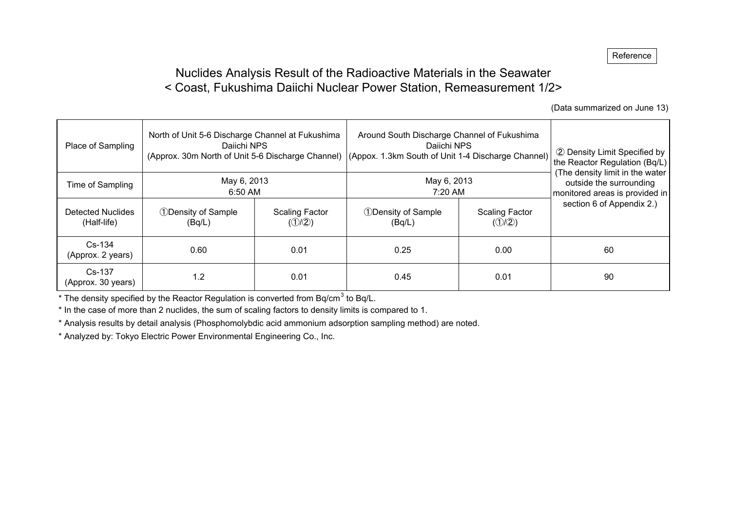# Nuclides Analysis Result of the Radioactive Materials in the Seawater < Coast, Fukushima Daiichi Nuclear Power Station, Remeasurement 1/2>

(Data summarized on June 13)

| Place of Sampling                | North of Unit 5-6 Discharge Channel at Fukushima<br>Daiichi NPS                                |      | Around South Discharge Channel of Fukushima<br>Daiichi NPS<br>(Approx. 30m North of Unit 5-6 Discharge Channel) (Appox. 1.3km South of Unit 1-4 Discharge Channel) | 2 Density Limit Specified by<br>the Reactor Regulation (Bq/L) |                                                                                              |
|----------------------------------|------------------------------------------------------------------------------------------------|------|--------------------------------------------------------------------------------------------------------------------------------------------------------------------|---------------------------------------------------------------|----------------------------------------------------------------------------------------------|
| Time of Sampling                 | May 6, 2013<br>6:50 AM                                                                         |      | May 6, 2013<br>7:20 AM                                                                                                                                             |                                                               | (The density limit in the water<br>outside the surrounding<br>monitored areas is provided in |
| Detected Nuclides<br>(Half-life) | <b><i><u>DDensity of Sample</u></i></b><br><b>Scaling Factor</b><br>$(\mathbb{O}/2)$<br>(Bq/L) |      | <b>1</b> Density of Sample<br>(Bq/L)                                                                                                                               | <b>Scaling Factor</b><br>$(\mathbb{O}/2)$                     | section 6 of Appendix 2.)                                                                    |
| $Cs-134$<br>(Approx. 2 years)    | 0.60                                                                                           | 0.01 | 0.25                                                                                                                                                               | 0.00                                                          | 60                                                                                           |
| Cs-137<br>(Approx. 30 years)     | 1.2                                                                                            | 0.01 | 0.45                                                                                                                                                               | 0.01                                                          | 90                                                                                           |

\* The density specified by the Reactor Regulation is converted from Bq/cm<sup>3</sup> to Bq/L.

\* In the case of more than 2 nuclides, the sum of scaling factors to density limits is compared to 1.

\* Analysis results by detail analysis (Phosphomolybdic acid ammonium adsorption sampling method) are noted.

\* Analyzed by: Tokyo Electric Power Environmental Engineering Co., Inc.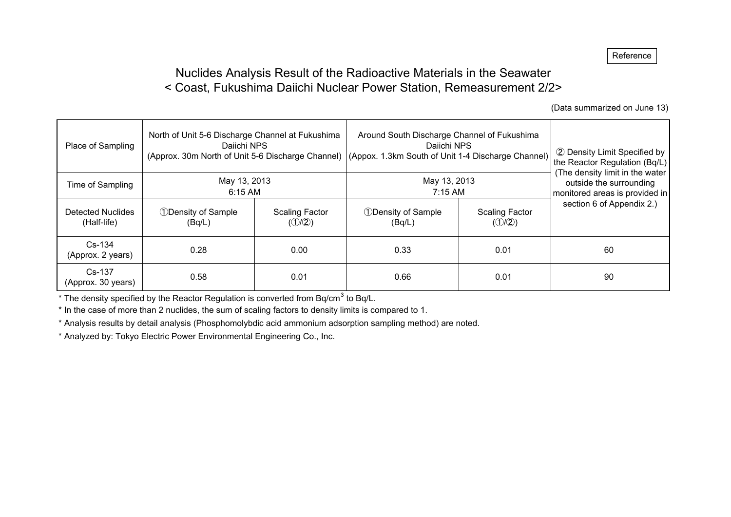# Nuclides Analysis Result of the Radioactive Materials in the Seawater < Coast, Fukushima Daiichi Nuclear Power Station, Remeasurement 2/2>

(Data summarized on June 13)

| Place of Sampling                | North of Unit 5-6 Discharge Channel at Fukushima<br>Daiichi NPS<br>(Approx. 30m North of Unit 5-6 Discharge Channel) |      |                                      | Around South Discharge Channel of Fukushima<br>Daiichi NPS<br>(Appox. 1.3km South of Unit 1-4 Discharge Channel) |                                                                                              |  |  |  |  |
|----------------------------------|----------------------------------------------------------------------------------------------------------------------|------|--------------------------------------|------------------------------------------------------------------------------------------------------------------|----------------------------------------------------------------------------------------------|--|--|--|--|
| Time of Sampling                 | May 13, 2013<br>6:15 AM                                                                                              |      | May 13, 2013<br>7:15 AM              |                                                                                                                  | (The density limit in the water<br>outside the surrounding<br>monitored areas is provided in |  |  |  |  |
| Detected Nuclides<br>(Half-life) | <b>1</b> Density of Sample<br>Scaling Factor<br>$(\mathbb{O}/2)$<br>(Bq/L)                                           |      | <b>1</b> Density of Sample<br>(Bq/L) | <b>Scaling Factor</b><br>$(\mathbb{O}/2)$                                                                        | section 6 of Appendix 2.)                                                                    |  |  |  |  |
| $Cs-134$<br>(Approx. 2 years)    | 0.28                                                                                                                 | 0.00 | 0.33                                 | 0.01                                                                                                             | 60                                                                                           |  |  |  |  |
| $Cs-137$<br>(Approx. 30 years)   | 0.58                                                                                                                 | 0.01 | 0.66                                 | 0.01                                                                                                             | 90                                                                                           |  |  |  |  |

\* The density specified by the Reactor Regulation is converted from Bq/cm<sup>3</sup> to Bq/L.

\* In the case of more than 2 nuclides, the sum of scaling factors to density limits is compared to 1.

\* Analysis results by detail analysis (Phosphomolybdic acid ammonium adsorption sampling method) are noted.

\* Analyzed by: Tokyo Electric Power Environmental Engineering Co., Inc.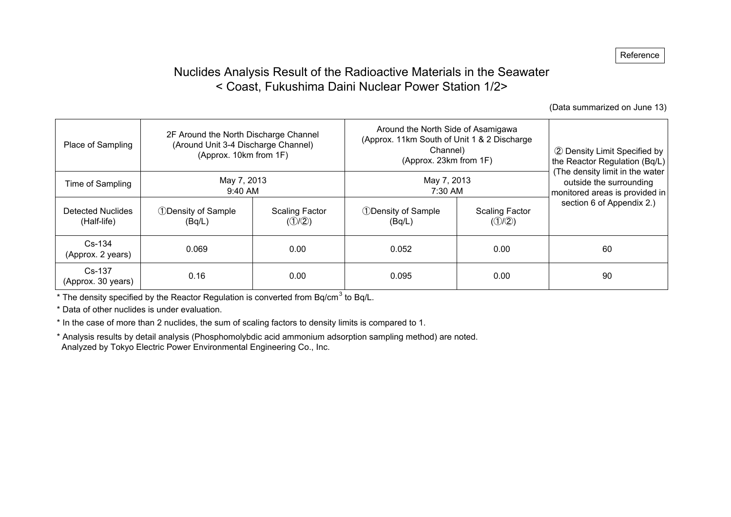# Nuclides Analysis Result of the Radioactive Materials in the Seawater < Coast, Fukushima Daini Nuclear Power Station 1/2>

(Data summarized on June 13)

| Place of Sampling                | 2F Around the North Discharge Channel<br>(Around Unit 3-4 Discharge Channel)<br>(Approx. 10km from 1F) |                                           | Around the North Side of Asamigawa<br>(Approx. 11km South of Unit 1 & 2 Discharge<br>Channel)<br>(Approx. 23km from 1F) | 2 Density Limit Specified by<br>the Reactor Regulation (Bq/L) |                                                                                              |
|----------------------------------|--------------------------------------------------------------------------------------------------------|-------------------------------------------|-------------------------------------------------------------------------------------------------------------------------|---------------------------------------------------------------|----------------------------------------------------------------------------------------------|
| Time of Sampling                 | May 7, 2013<br>9:40 AM                                                                                 |                                           | May 7, 2013<br>7:30 AM                                                                                                  |                                                               | (The density limit in the water<br>outside the surrounding<br>monitored areas is provided in |
| Detected Nuclides<br>(Half-life) | <b>1</b> Density of Sample<br>(Bq/L)                                                                   | <b>Scaling Factor</b><br>$(\mathbb{O}/2)$ |                                                                                                                         | <b>Scaling Factor</b><br>$(\mathbb{O}/2)$                     | section 6 of Appendix 2.)                                                                    |
| $Cs-134$<br>(Approx. 2 years)    | 0.069                                                                                                  | 0.00                                      | 0.052                                                                                                                   | 0.00                                                          | 60                                                                                           |
| $Cs-137$<br>(Approx. 30 years)   | 0.16<br>0.00                                                                                           |                                           | 0.095                                                                                                                   | 0.00                                                          | 90                                                                                           |

 $*$  The density specified by the Reactor Regulation is converted from Bq/cm<sup>3</sup> to Bq/L.

\* Data of other nuclides is under evaluation.

\* In the case of more than 2 nuclides, the sum of scaling factors to density limits is compared to 1.

\* Analysis results by detail analysis (Phosphomolybdic acid ammonium adsorption sampling method) are noted. Analyzed by Tokyo Electric Power Environmental Engineering Co., Inc.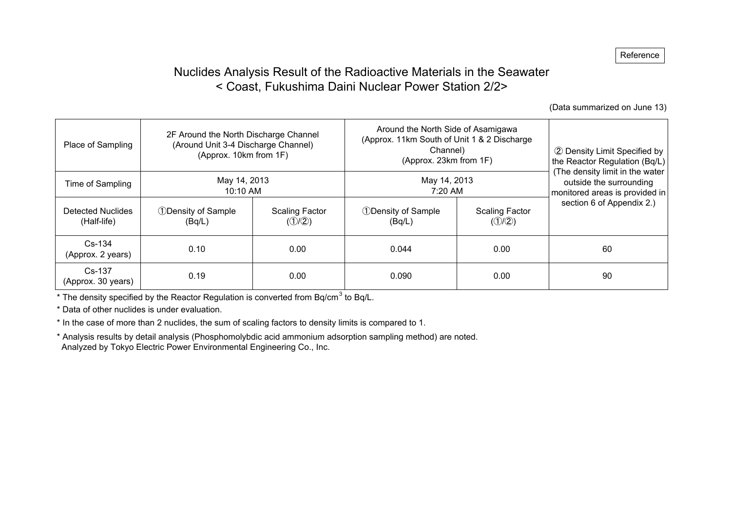# Nuclides Analysis Result of the Radioactive Materials in the Seawater < Coast, Fukushima Daini Nuclear Power Station 2/2>

(Data summarized on June 13)

| Place of Sampling                | 2F Around the North Discharge Channel<br>(Around Unit 3-4 Discharge Channel)<br>(Approx. 10km from 1F) |                                           | Around the North Side of Asamigawa<br>(Approx. 11km South of Unit 1 & 2 Discharge<br>Channel)<br>(Approx. 23km from 1F) | 2 Density Limit Specified by<br>the Reactor Regulation (Bq/L) |                                                                                              |
|----------------------------------|--------------------------------------------------------------------------------------------------------|-------------------------------------------|-------------------------------------------------------------------------------------------------------------------------|---------------------------------------------------------------|----------------------------------------------------------------------------------------------|
| Time of Sampling                 | May 14, 2013<br>10:10 AM                                                                               |                                           | May 14, 2013<br>7:20 AM                                                                                                 |                                                               | (The density limit in the water<br>outside the surrounding<br>monitored areas is provided in |
| Detected Nuclides<br>(Half-life) | <b><i>ODensity of Sample</i></b><br>(Bq/L)                                                             | <b>Scaling Factor</b><br>$(\mathbb{O}/2)$ | <b>1</b> Density of Sample<br>(Bq/L)                                                                                    | Scaling Factor<br>(①/2)                                       | section 6 of Appendix 2.)                                                                    |
| $Cs-134$<br>(Approx. 2 years)    | 0.10                                                                                                   | 0.00                                      | 0.044                                                                                                                   | 0.00                                                          | 60                                                                                           |
| $Cs-137$<br>(Approx. 30 years)   | 0.19<br>0.00                                                                                           |                                           | 0.090                                                                                                                   | 0.00                                                          | 90                                                                                           |

 $*$  The density specified by the Reactor Regulation is converted from Bq/cm<sup>3</sup> to Bq/L.

\* Data of other nuclides is under evaluation.

\* In the case of more than 2 nuclides, the sum of scaling factors to density limits is compared to 1.

\* Analysis results by detail analysis (Phosphomolybdic acid ammonium adsorption sampling method) are noted. Analyzed by Tokyo Electric Power Environmental Engineering Co., Inc.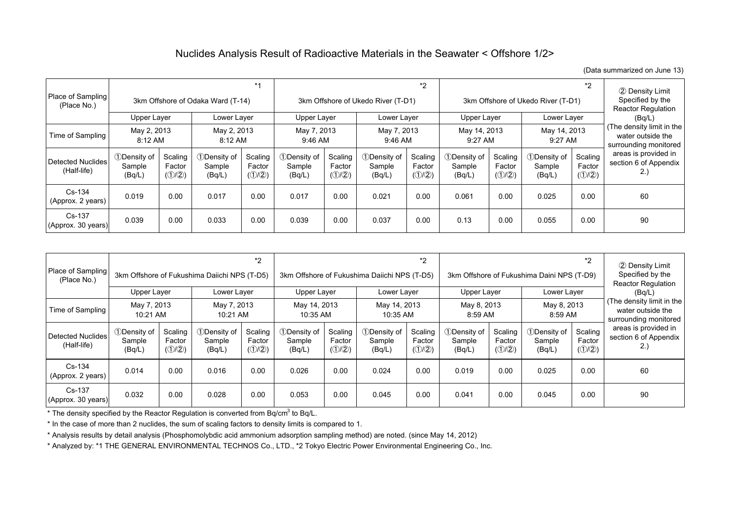### Nuclides Analysis Result of Radioactive Materials in the Seawater < Offshore 1/2>

(Data summarized on June 13)

| Place of Sampling<br>(Place No.) |                                    |                                       | 3km Offshore of Odaka Ward (T-14)       | $*1$                                           | *2<br>3km Offshore of Ukedo River (T-D1) |                                                |                                 | $*2$<br>3km Offshore of Ukedo River (T-D1)       |                                 |                                       |                                         | 2 Density Limit<br>Specified by the<br><b>Reactor Regulation</b> |                                                                         |
|----------------------------------|------------------------------------|---------------------------------------|-----------------------------------------|------------------------------------------------|------------------------------------------|------------------------------------------------|---------------------------------|--------------------------------------------------|---------------------------------|---------------------------------------|-----------------------------------------|------------------------------------------------------------------|-------------------------------------------------------------------------|
|                                  | Upper Layer                        |                                       | Lower Layer                             |                                                | Upper Layer                              |                                                | Lower Layer                     |                                                  | Upper Layer                     |                                       | Lower Layer                             |                                                                  | (Bq/L)                                                                  |
| Time of Sampling                 | May 2, 2013<br>$8:12 \, \text{AM}$ |                                       | May 2, 2013<br>8:12 AM                  |                                                | May 7, 2013<br>9:46 AM                   |                                                | May 7, 2013<br>$9:46$ AM        |                                                  | May 14, 2013<br>$9:27$ AM       |                                       | May 14, 2013<br>9:27 AM                 |                                                                  | (The density limit in the<br>water outside the<br>surrounding monitored |
| Detected Nuclides<br>(Half-life) | 1Density of<br>Sample<br>(Bq/L)    | Scaling<br>Factor<br>$(\mathbb{O}/2)$ | <b>1</b> Density of<br>Sample<br>(Bq/L) | Scaling<br>Factor<br>$(\mathbb{O}/\mathbb{Q})$ | 1Density of<br>Sample<br>(Bq/L)          | Scaling<br>Factor<br>$(\mathbb{O}/\mathbb{Q})$ | 1Density of<br>Sample<br>(Bq/L) | Scaling<br>Factor<br>$(\mathcal{D}/\mathcal{D})$ | 1Density of<br>Sample<br>(Bq/L) | Scaling<br>Factor<br>$(\mathbb{O}/2)$ | <b>1</b> Density of<br>Sample<br>(Bq/L) | Scaling<br>Factor<br>$(\mathcal{D}/\mathcal{D})$                 | areas is provided in<br>section 6 of Appendix<br>2.)                    |
| Cs-134<br>(Approx. 2 years)      | 0.019                              | 0.00                                  | 0.017                                   | 0.00                                           | 0.017                                    | 0.00                                           | 0.021                           | 0.00                                             | 0.061                           | 0.00                                  | 0.025                                   | 0.00                                                             | 60                                                                      |
| Cs-137<br>(Approx. 30 years)     | 0.039                              | 0.00                                  | 0.033                                   | 0.00                                           | 0.039                                    | 0.00                                           | 0.037                           | 0.00                                             | 0.13                            | 0.00                                  | 0.055                                   | 0.00                                                             | 90                                                                      |

| Place of Sampling<br>(Place No.)        | Upper Layer                     |                                                | 3km Offshore of Fukushima Daiichi NPS (T-D5)<br>Lower Layer | $*2$                                             | Upper Layer                      |                                                | 3km Offshore of Fukushima Daiichi NPS (T-D5)<br>Lower Layer | $*_{2}$                                          |                                         | $*2$<br>3km Offshore of Fukushima Daini NPS (T-D9)<br>Upper Layer<br>Lower Layer |                                         |                                                | 2 Density Limit<br>Specified by the<br><b>Reactor Regulation</b><br>(Bq/L) |
|-----------------------------------------|---------------------------------|------------------------------------------------|-------------------------------------------------------------|--------------------------------------------------|----------------------------------|------------------------------------------------|-------------------------------------------------------------|--------------------------------------------------|-----------------------------------------|----------------------------------------------------------------------------------|-----------------------------------------|------------------------------------------------|----------------------------------------------------------------------------|
| Time of Sampling                        | May 7, 2013<br>10:21 AM         |                                                | May 7, 2013<br>10:21 AM                                     |                                                  | May 14, 2013<br>10:35 AM         |                                                | May 14, 2013<br>10:35 AM                                    |                                                  | May 8, 2013<br>8:59 AM                  |                                                                                  | May 8, 2013<br>8:59 AM                  |                                                | (The density limit in the<br>water outside the<br>surrounding monitored    |
| <b>Detected Nuclides</b><br>(Half-life) | 1Density of<br>Sample<br>(Bq/L) | Scaling<br>Factor<br>$(\mathbb{O}/\mathbb{Q})$ | 1Density of<br>Sample<br>(Bq/L)                             | Scaling<br>Factor<br>$(\mathcal{D}/\mathcal{D})$ | 10Density of<br>Sample<br>(Bq/L) | Scaling<br>Factor<br>$(\mathbb{O}/\mathbb{Q})$ | <b><i><u>DDensity</u></i></b> of<br>Sample<br>(Bq/L)        | Scaling<br>Factor<br>$(\mathcal{D}/\mathcal{D})$ | <b>1</b> Density of<br>Sample<br>(Bq/L) | Scaling<br>Factor<br>$(\mathbb{O}/\mathbb{Q})$                                   | <b>1</b> Density of<br>Sample<br>(Bq/L) | Scaling<br>Factor<br>$(\mathbb{O}/\mathbb{Q})$ | areas is provided in<br>section 6 of Appendix<br>2.)                       |
| Cs-134<br>(Approx. 2 years)             | 0.014                           | 0.00                                           | 0.016                                                       | 0.00                                             | 0.026                            | 0.00                                           | 0.024                                                       | 0.00                                             | 0.019                                   | 0.00                                                                             | 0.025                                   | 0.00                                           | 60                                                                         |
| Cs-137<br>(Approx. 30 years)            | 0.032                           | 0.00                                           | 0.028                                                       | 0.00                                             | 0.053                            | 0.00                                           | 0.045                                                       | 0.00                                             | 0.041                                   | 0.00                                                                             | 0.045                                   | 0.00                                           | 90                                                                         |

\* The density specified by the Reactor Regulation is converted from Bq/cm<sup>3</sup> to Bq/L.

\* In the case of more than 2 nuclides, the sum of scaling factors to density limits is compared to 1.

\* Analysis results by detail analysis (Phosphomolybdic acid ammonium adsorption sampling method) are noted. (since May 14, 2012)

\* Analyzed by: \*1 THE GENERAL ENVIRONMENTAL TECHNOS Co., LTD., \*2 Tokyo Electric Power Environmental Engineering Co., Inc.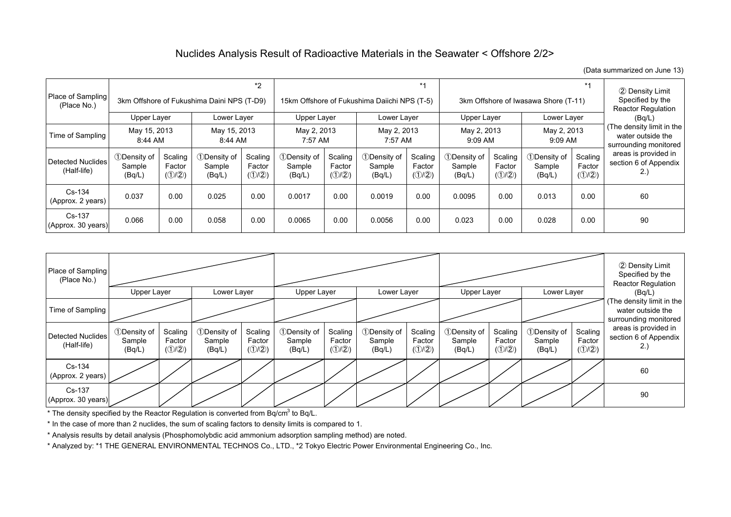## Nuclides Analysis Result of Radioactive Materials in the Seawater < Offshore 2/2>

(Data summarized on June 13)

| Place of Sampling<br>(Place No.) |                                 |                                                | 3km Offshore of Fukushima Daini NPS (T-D9) | $*2$                                           |                                 |                                                | $*1$<br>15km Offshore of Fukushima Daiichi NPS (T-5) |                                                  |                                 |                                       | $*1$<br>3km Offshore of Iwasawa Shore (T-11) |                                                  |                                                                         |
|----------------------------------|---------------------------------|------------------------------------------------|--------------------------------------------|------------------------------------------------|---------------------------------|------------------------------------------------|------------------------------------------------------|--------------------------------------------------|---------------------------------|---------------------------------------|----------------------------------------------|--------------------------------------------------|-------------------------------------------------------------------------|
|                                  | Upper Layer                     |                                                | Lower Layer                                |                                                | Upper Layer                     |                                                | Lower Layer                                          |                                                  | Upper Layer                     |                                       | Lower Layer                                  |                                                  | (Bq/L)                                                                  |
| Time of Sampling                 | May 15, 2013<br>8:44 AM         |                                                | May 15, 2013<br>8:44 AM                    |                                                | May 2, 2013<br>7:57 AM          |                                                | May 2, 2013<br>7:57 AM                               |                                                  | May 2, 2013<br>9:09 AM          |                                       | May 2, 2013<br>9:09 AM                       |                                                  | (The density limit in the<br>water outside the<br>surrounding monitored |
| Detected Nuclides<br>(Half-life) | 1Density of<br>Sample<br>(Bq/L) | Scaling<br>Factor<br>$(\mathbb{O}/\mathbb{Q})$ | 1Density of<br>Sample<br>(Bq/L)            | Scaling<br>Factor<br>$(\mathbb{O}/\mathbb{Q})$ | 1Density of<br>Sample<br>(Bq/L) | Scaling<br>Factor<br>$(\mathbb{O}/\mathbb{Q})$ | <b>1</b> Density of<br>Sample<br>(Bq/L)              | Scaling<br>Factor<br>$(\mathcal{D}/\mathcal{D})$ | 1Density of<br>Sample<br>(Bq/L) | Scaling<br>Factor<br>$(\mathbb{O}/2)$ | 1Density of<br>Sample<br>(Bq/L)              | Scaling<br>Factor<br>$(\mathcal{D}/\mathcal{D})$ | areas is provided in<br>section 6 of Appendix<br>2.)                    |
| Cs-134<br>(Approx. 2 years)      | 0.037                           | 0.00                                           | 0.025                                      | 0.00                                           | 0.0017                          | 0.00                                           | 0.0019                                               | 0.00                                             | 0.0095                          | 0.00                                  | 0.013                                        | 0.00                                             | 60                                                                      |
| $Cs-137$<br>(Approx. 30 years)   | 0.066                           | 0.00                                           | 0.058                                      | 0.00                                           | 0.0065                          | 0.00                                           | 0.0056                                               | 0.00                                             | 0.023                           | 0.00                                  | 0.028                                        | 0.00                                             | 90                                                                      |



\* The density specified by the Reactor Regulation is converted from Bq/cm<sup>3</sup> to Bq/L.

\* In the case of more than 2 nuclides, the sum of scaling factors to density limits is compared to 1.

\* Analysis results by detail analysis (Phosphomolybdic acid ammonium adsorption sampling method) are noted.

\* Analyzed by: \*1 THE GENERAL ENVIRONMENTAL TECHNOS Co., LTD., \*2 Tokyo Electric Power Environmental Engineering Co., Inc.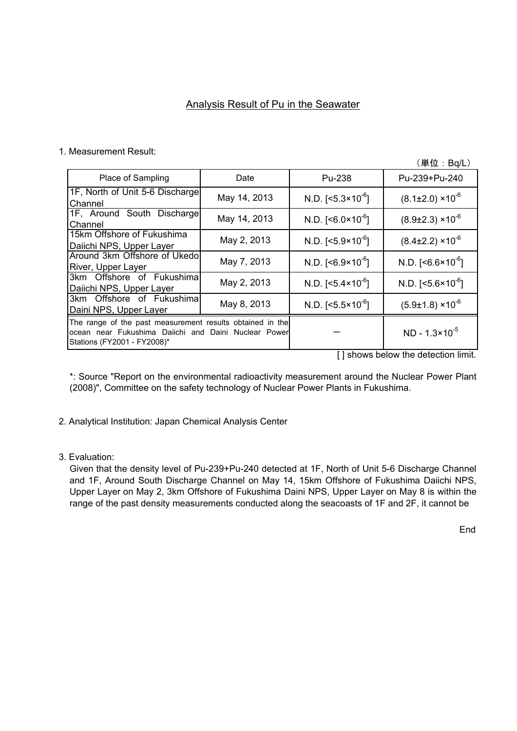## Analysis Result of Pu in the Seawater

#### 1. Measurement Result:

(単位:Bq/L)

| Place of Sampling                                                                                                                                | Date         | Pu-238                       | Pu-239+Pu-240                                                                   |
|--------------------------------------------------------------------------------------------------------------------------------------------------|--------------|------------------------------|---------------------------------------------------------------------------------|
| 1F, North of Unit 5-6 Discharge<br>Channel                                                                                                       | May 14, 2013 | N.D. $[<5.3 \times 10^{-6}]$ | $(8.1\pm2.0)\times10^{-6}$                                                      |
| 1F, Around South Discharge<br>Channel                                                                                                            | May 14, 2013 | N.D. $[<6.0 \times 10^{-6}]$ | $(8.9\pm2.3)\times10^{-6}$                                                      |
| 15km Offshore of Fukushima<br>Daiichi NPS, Upper Layer                                                                                           | May 2, 2013  | N.D. $[<5.9 \times 10^{-6}]$ | $(8.4\pm2.2)\times10^{-6}$                                                      |
| Around 3km Offshore of Ukedo<br>River, Upper Layer                                                                                               | May 7, 2013  | N.D. $[<6.9 \times 10^{-6}]$ | N.D. $[<6.6 \times 10^{-6}]$                                                    |
| 3km Offshore of Fukushima<br>Daiichi NPS, Upper Layer                                                                                            | May 2, 2013  | N.D. $[<5.4 \times 10^{-6}]$ | N.D. $[<5.6 \times 10^{-6}]$                                                    |
| 3km Offshore of Fukushima<br>Daini NPS, Upper Layer                                                                                              | May 8, 2013  | N.D. $[<5.5 \times 10^{-6}]$ | $(5.9\pm1.8)\times10^{-6}$                                                      |
| The range of the past measurement results obtained in the<br>ocean near Fukushima Daiichi and Daini Nuclear Power<br>Stations (FY2001 - FY2008)* |              |                              | $ND - 1.3 \times 10^{-5}$<br>$\mathbf{r}$ , and $\mathbf{r}$ , and $\mathbf{r}$ |

[] shows below the detection limit.

\*: Source "Report on the environmental radioactivity measurement around the Nuclear Power Plant (2008)", Committee on the safety technology of Nuclear Power Plants in Fukushima.

- 2. Analytical Institution: Japan Chemical Analysis Center
- 3. Evaluation:

Given that the density level of Pu-239+Pu-240 detected at 1F, North of Unit 5-6 Discharge Channel and 1F, Around South Discharge Channel on May 14, 15km Offshore of Fukushima Daiichi NPS, Upper Layer on May 2, 3km Offshore of Fukushima Daini NPS, Upper Layer on May 8 is within the range of the past density measurements conducted along the seacoasts of 1F and 2F, it cannot be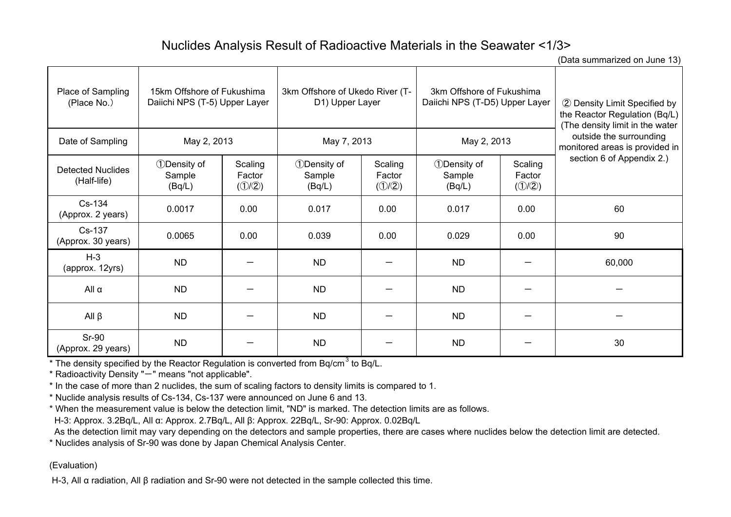# Nuclides Analysis Result of Radioactive Materials in the Seawater <1/3>

(Data summarized on June 13)

| Place of Sampling<br>(Place No.)        | 15km Offshore of Fukushima<br>Daiichi NPS (T-5) Upper Layer |                            | 3km Offshore of Ukedo River (T-<br>D1) Upper Layer |                            | 3km Offshore of Fukushima<br>Daiichi NPS (T-D5) Upper Layer |                            | 2 Density Limit Specified by<br>the Reactor Regulation (Bq/L)<br>(The density limit in the water |
|-----------------------------------------|-------------------------------------------------------------|----------------------------|----------------------------------------------------|----------------------------|-------------------------------------------------------------|----------------------------|--------------------------------------------------------------------------------------------------|
| Date of Sampling                        | May 2, 2013                                                 |                            | May 7, 2013                                        |                            | May 2, 2013                                                 |                            | outside the surrounding<br>monitored areas is provided in                                        |
| <b>Detected Nuclides</b><br>(Half-life) | <b>1</b> Density of<br>Sample<br>(Bq/L)                     | Scaling<br>Factor<br>(1/2) | <b>1</b> Density of<br>Sample<br>(Bq/L)            | Scaling<br>Factor<br>(1/2) | <b>1</b> Density of<br>Sample<br>(Bq/L)                     | Scaling<br>Factor<br>(1/2) | section 6 of Appendix 2.)                                                                        |
| $Cs-134$<br>(Approx. 2 years)           | 0.0017                                                      | 0.00                       | 0.017                                              | 0.00                       | 0.017                                                       | 0.00                       | 60                                                                                               |
| Cs-137<br>(Approx. 30 years)            | 0.0065                                                      | 0.00                       | 0.039                                              | 0.00                       | 0.029                                                       | 0.00                       | 90                                                                                               |
| $H-3$<br>(approx. 12yrs)                | <b>ND</b>                                                   |                            | <b>ND</b>                                          |                            | <b>ND</b>                                                   |                            | 60,000                                                                                           |
| All $\alpha$                            | <b>ND</b>                                                   |                            | <b>ND</b>                                          |                            | <b>ND</b>                                                   |                            |                                                                                                  |
| All $\beta$                             | <b>ND</b>                                                   |                            | <b>ND</b>                                          |                            | <b>ND</b>                                                   |                            |                                                                                                  |
| Sr-90<br>(Approx. 29 years)             | <b>ND</b>                                                   |                            | ND.                                                |                            | <b>ND</b>                                                   |                            | 30                                                                                               |

 $*$  The density specified by the Reactor Regulation is converted from Bq/cm<sup>3</sup> to Bq/L.

\* Radioactivity Density "-" means "not applicable".

\* In the case of more than 2 nuclides, the sum of scaling factors to density limits is compared to 1.

\* Nuclide analysis results of Cs-134, Cs-137 were announced on June 6 and 13.

\* When the measurement value is below the detection limit, "ND" is marked. The detection limits are as follows.

H-3: Approx. 3.2Bq/L, All α: Approx. 2.7Bq/L, All β: Approx. 22Bq/L, Sr-90: Approx. 0.02Bq/L

As the detection limit may vary depending on the detectors and sample properties, there are cases where nuclides below the detection limit are detected.

\* Nuclides analysis of Sr-90 was done by Japan Chemical Analysis Center.

### (Evaluation)

H-3, All α radiation, All β radiation and Sr-90 were not detected in the sample collected this time.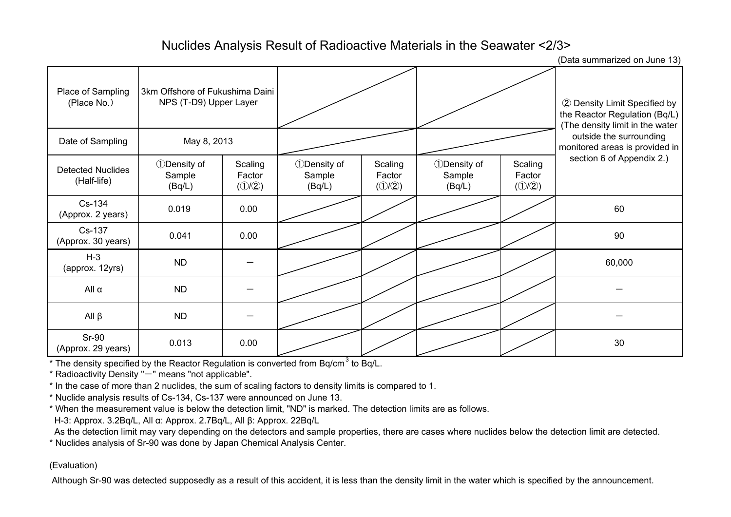# Nuclides Analysis Result of Radioactive Materials in the Seawater <2/3>

(Data summarized on June 13)

| Place of Sampling<br>(Place No.)        | 3km Offshore of Fukushima Daini<br>NPS (T-D9) Upper Layer |                                                  |                                                      |                                                  |                                                      |                                                  | 2 Density Limit Specified by<br>the Reactor Regulation (Bq/L)<br>(The density limit in the water |
|-----------------------------------------|-----------------------------------------------------------|--------------------------------------------------|------------------------------------------------------|--------------------------------------------------|------------------------------------------------------|--------------------------------------------------|--------------------------------------------------------------------------------------------------|
| Date of Sampling                        | May 8, 2013                                               |                                                  |                                                      |                                                  |                                                      |                                                  | outside the surrounding<br>monitored areas is provided in                                        |
| <b>Detected Nuclides</b><br>(Half-life) | <b><i><u>DDensity</u></i></b> of<br>Sample<br>(Bq/L)      | Scaling<br>Factor<br>$(\mathcal{D}/\mathcal{D})$ | <b><i><u>DDensity</u></i></b> of<br>Sample<br>(Bq/L) | Scaling<br>Factor<br>$(\mathcal{D}/\mathcal{D})$ | <b><i><u>DDensity</u></i></b> of<br>Sample<br>(Bq/L) | Scaling<br>Factor<br>$(\mathcal{D}/\mathcal{D})$ | section 6 of Appendix 2.)                                                                        |
| Cs-134<br>(Approx. 2 years)             | 0.019                                                     | 0.00                                             |                                                      |                                                  |                                                      |                                                  | 60                                                                                               |
| Cs-137<br>(Approx. 30 years)            | 0.041                                                     | 0.00                                             |                                                      |                                                  |                                                      |                                                  | 90                                                                                               |
| $H-3$<br>(approx. 12yrs)                | <b>ND</b>                                                 |                                                  |                                                      |                                                  |                                                      |                                                  | 60,000                                                                                           |
| All $\alpha$                            | ND                                                        |                                                  |                                                      |                                                  |                                                      |                                                  |                                                                                                  |
| $All \beta$                             | <b>ND</b>                                                 |                                                  |                                                      |                                                  |                                                      |                                                  |                                                                                                  |
| <b>Sr-90</b><br>(Approx. 29 years)      | 0.013                                                     | 0.00                                             |                                                      |                                                  |                                                      |                                                  | 30                                                                                               |

\* The density specified by the Reactor Regulation is converted from Bq/cm<sup>3</sup> to Bq/L.

\* Radioactivity Density "-" means "not applicable".

\* In the case of more than 2 nuclides, the sum of scaling factors to density limits is compared to 1.

\* Nuclide analysis results of Cs-134, Cs-137 were announced on June 13.

\* When the measurement value is below the detection limit, "ND" is marked. The detection limits are as follows.

H-3: Approx. 3.2Bq/L, All α: Approx. 2.7Bq/L, All β: Approx. 22Bq/L

As the detection limit may vary depending on the detectors and sample properties, there are cases where nuclides below the detection limit are detected.

\* Nuclides analysis of Sr-90 was done by Japan Chemical Analysis Center.

### (Evaluation)

Although Sr-90 was detected supposedly as a result of this accident, it is less than the density limit in the water which is specified by the announcement.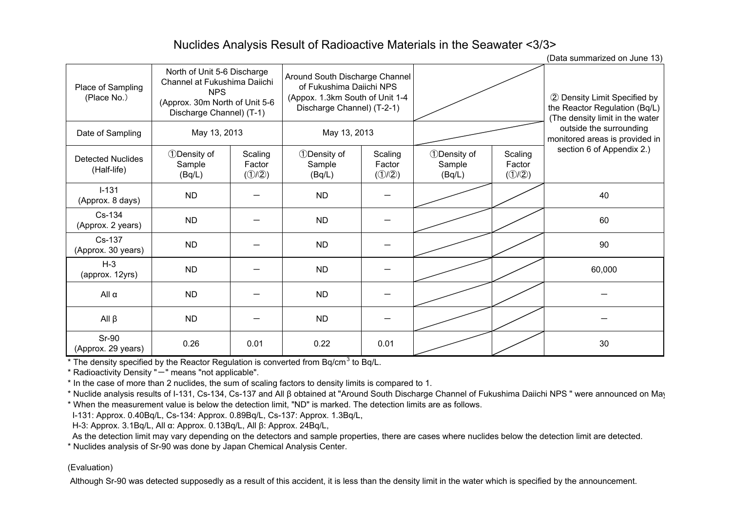# Nuclides Analysis Result of Radioactive Materials in the Seawater <3/3>

(Data summarized on June 13)

|                                         |                                                                                                                                         |                                                  |                                                                                                                             |                                                  |                                                     |                                                  | $\mu$ bata samman zoa on sanc $\mu$ o                                                            |  |
|-----------------------------------------|-----------------------------------------------------------------------------------------------------------------------------------------|--------------------------------------------------|-----------------------------------------------------------------------------------------------------------------------------|--------------------------------------------------|-----------------------------------------------------|--------------------------------------------------|--------------------------------------------------------------------------------------------------|--|
| Place of Sampling<br>(Place No.)        | North of Unit 5-6 Discharge<br>Channel at Fukushima Daiichi<br><b>NPS</b><br>(Approx. 30m North of Unit 5-6<br>Discharge Channel) (T-1) |                                                  | Around South Discharge Channel<br>of Fukushima Daiichi NPS<br>(Appox. 1.3km South of Unit 1-4<br>Discharge Channel) (T-2-1) |                                                  |                                                     |                                                  | 2 Density Limit Specified by<br>the Reactor Regulation (Bq/L)<br>(The density limit in the water |  |
| Date of Sampling                        | May 13, 2013                                                                                                                            |                                                  | May 13, 2013                                                                                                                |                                                  |                                                     |                                                  | outside the surrounding<br>monitored areas is provided in                                        |  |
| <b>Detected Nuclides</b><br>(Half-life) | <b>1</b> Density of<br>Sample<br>(Bq/L)                                                                                                 | Scaling<br>Factor<br>$(\mathcal{D}/\mathcal{D})$ | <b>1</b> Density of<br>Sample<br>(Bq/L)                                                                                     | Scaling<br>Factor<br>$(\mathcal{D}/\mathcal{D})$ | <b><i><u>Density</u></i></b> of<br>Sample<br>(Bq/L) | Scaling<br>Factor<br>$(\mathcal{D}/\mathcal{D})$ | section 6 of Appendix 2.)                                                                        |  |
| $I-131$<br>(Approx. 8 days)             | <b>ND</b>                                                                                                                               |                                                  | <b>ND</b>                                                                                                                   |                                                  |                                                     |                                                  | 40                                                                                               |  |
| Cs-134<br>(Approx. 2 years)             | <b>ND</b>                                                                                                                               |                                                  | <b>ND</b>                                                                                                                   |                                                  |                                                     |                                                  | 60                                                                                               |  |
| Cs-137<br>(Approx. 30 years)            | <b>ND</b>                                                                                                                               |                                                  | <b>ND</b>                                                                                                                   |                                                  |                                                     |                                                  | 90                                                                                               |  |
| $H-3$<br>(approx. 12yrs)                | <b>ND</b>                                                                                                                               |                                                  | <b>ND</b>                                                                                                                   |                                                  |                                                     |                                                  | 60,000                                                                                           |  |
| All $\alpha$                            | <b>ND</b>                                                                                                                               |                                                  | <b>ND</b>                                                                                                                   |                                                  |                                                     |                                                  |                                                                                                  |  |
| $All \beta$                             | <b>ND</b>                                                                                                                               |                                                  | <b>ND</b>                                                                                                                   |                                                  |                                                     |                                                  |                                                                                                  |  |
| <b>Sr-90</b><br>(Approx. 29 years)      | 0.26                                                                                                                                    | 0.01                                             | 0.22                                                                                                                        | 0.01                                             |                                                     |                                                  | 30                                                                                               |  |

\* The density specified by the Reactor Regulation is converted from Bq/cm<sup>3</sup> to Bq/L.

 $*$  Radioactivity Density " $-$ " means "not applicable".

\* In the case of more than 2 nuclides, the sum of scaling factors to density limits is compared to 1.

\* Nuclide analysis results of I-131, Cs-134, Cs-137 and All β obtained at "Around South Discharge Channel of Fukushima Daiichi NPS " were announced on May

\* When the measurement value is below the detection limit, "ND" is marked. The detection limits are as follows.

I-131: Approx. 0.40Bq/L, Cs-134: Approx. 0.89Bq/L, Cs-137: Approx. 1.3Bq/L,

H-3: Approx. 3.1Bq/L, All α: Approx. 0.13Bq/L, All β: Approx. 24Bq/L,

As the detection limit may vary depending on the detectors and sample properties, there are cases where nuclides below the detection limit are detected.

\* Nuclides analysis of Sr-90 was done by Japan Chemical Analysis Center.

#### (Evaluation)

Although Sr-90 was detected supposedly as a result of this accident, it is less than the density limit in the water which is specified by the announcement.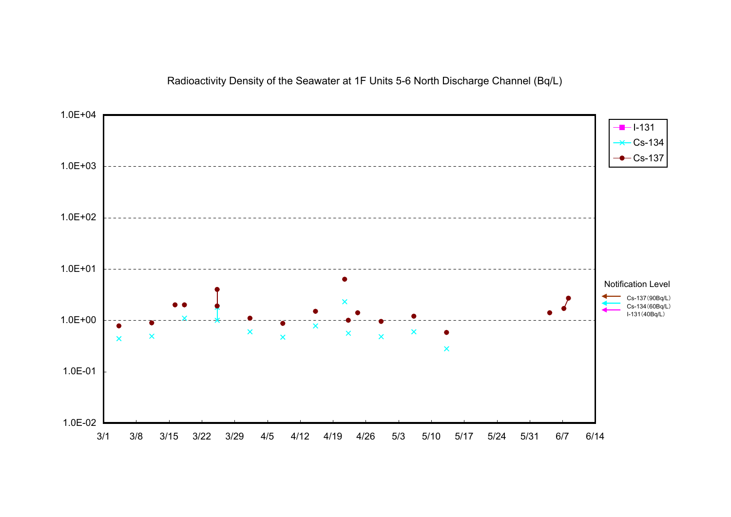## Radioactivity Density of the Seawater at 1F Units 5-6 North Discharge Channel (Bq/L)

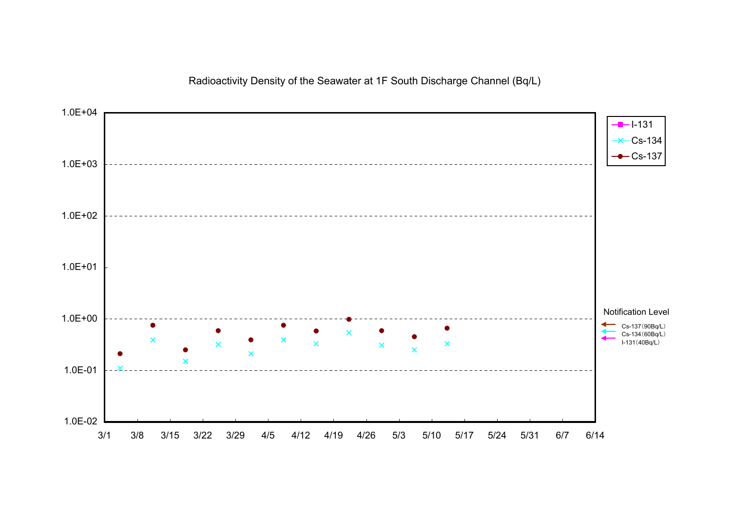## Radioactivity Density of the Seawater at 1F South Discharge Channel (Bq/L)

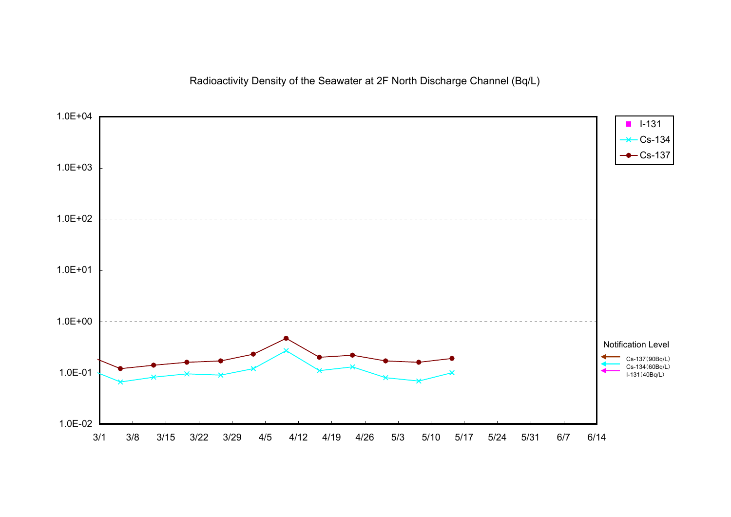Radioactivity Density of the Seawater at 2F North Discharge Channel (Bq/L)

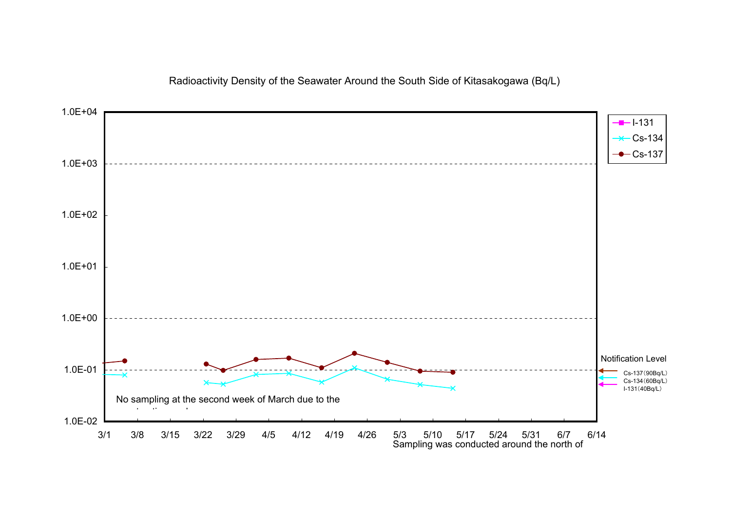## Radioactivity Density of the Seawater Around the South Side of Kitasakogawa (Bq/L)

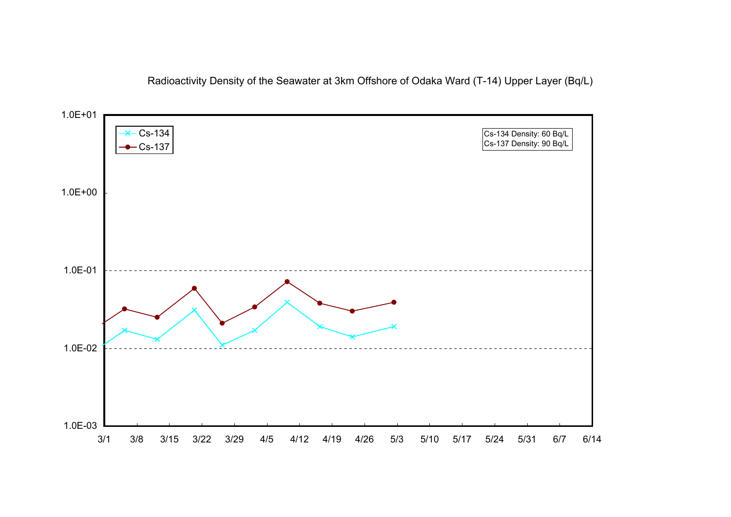Radioactivity Density of the Seawater at 3km Offshore of Odaka Ward (T-14) Upper Layer (Bq/L)

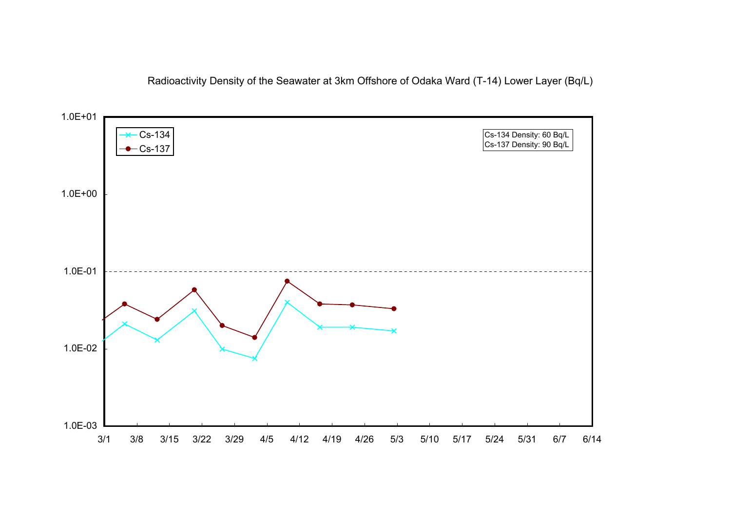Radioactivity Density of the Seawater at 3km Offshore of Odaka Ward (T-14) Lower Layer (Bq/L)

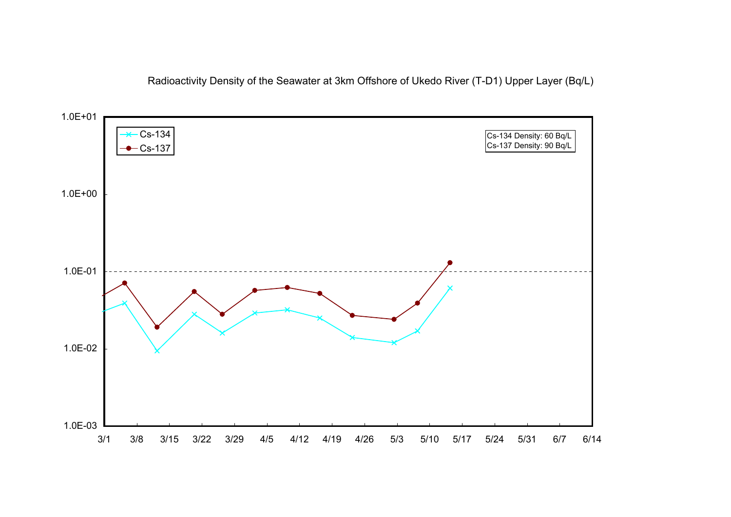Radioactivity Density of the Seawater at 3km Offshore of Ukedo River (T-D1) Upper Layer (Bq/L)

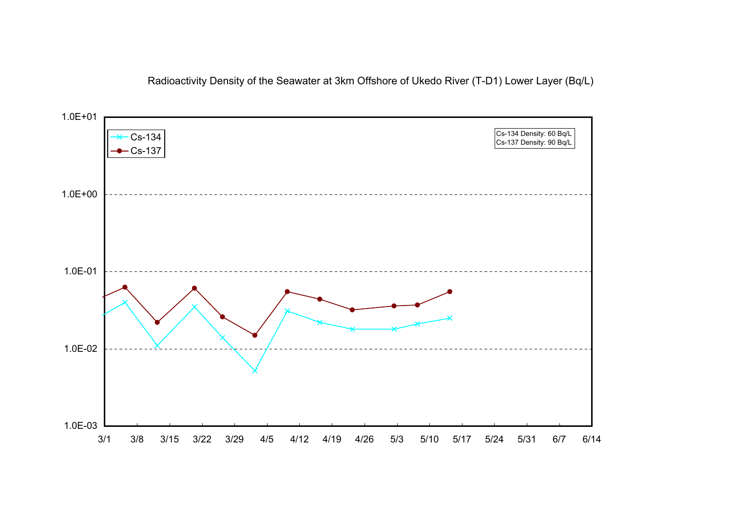Radioactivity Density of the Seawater at 3km Offshore of Ukedo River (T-D1) Lower Layer (Bq/L)

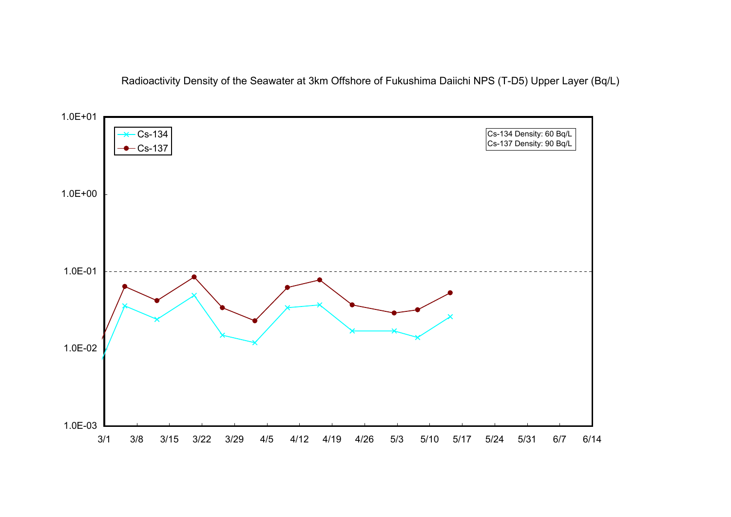Radioactivity Density of the Seawater at 3km Offshore of Fukushima Daiichi NPS (T-D5) Upper Layer (Bq/L)

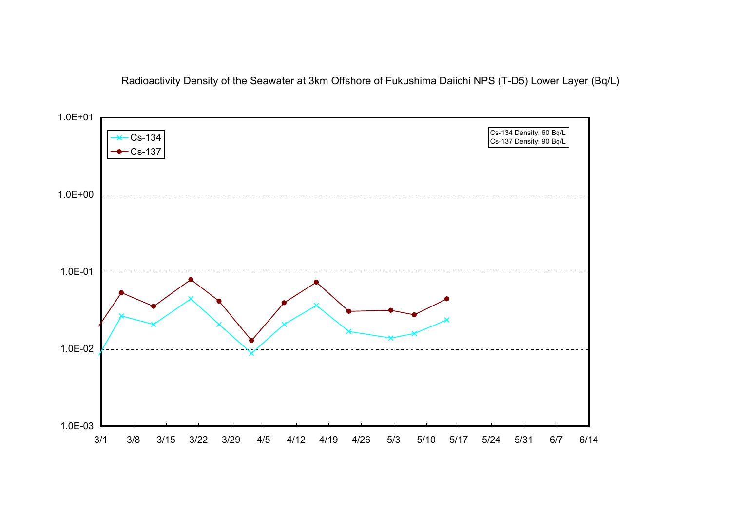Radioactivity Density of the Seawater at 3km Offshore of Fukushima Daiichi NPS (T-D5) Lower Layer (Bq/L)

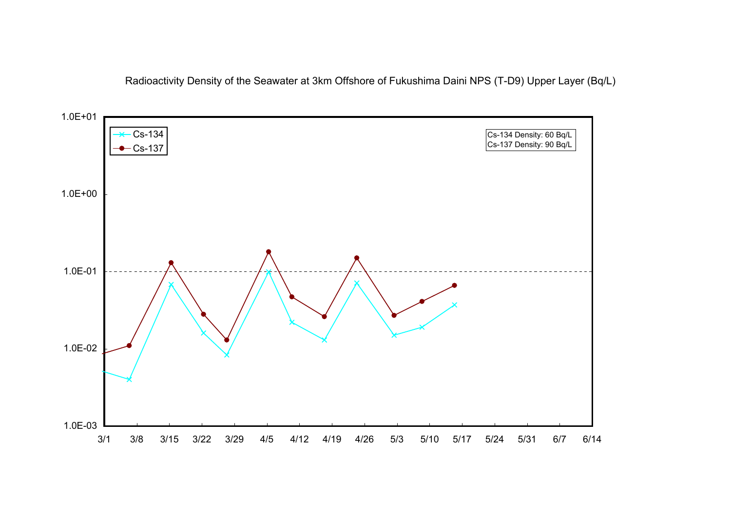Radioactivity Density of the Seawater at 3km Offshore of Fukushima Daini NPS (T-D9) Upper Layer (Bq/L)

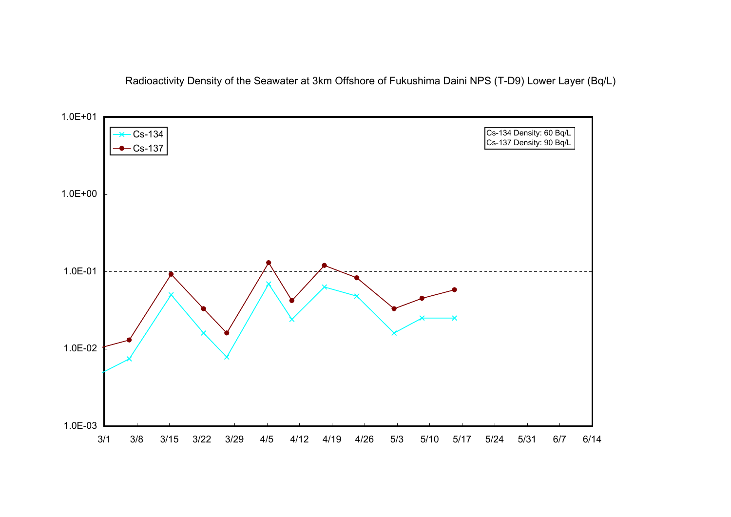Radioactivity Density of the Seawater at 3km Offshore of Fukushima Daini NPS (T-D9) Lower Layer (Bq/L)

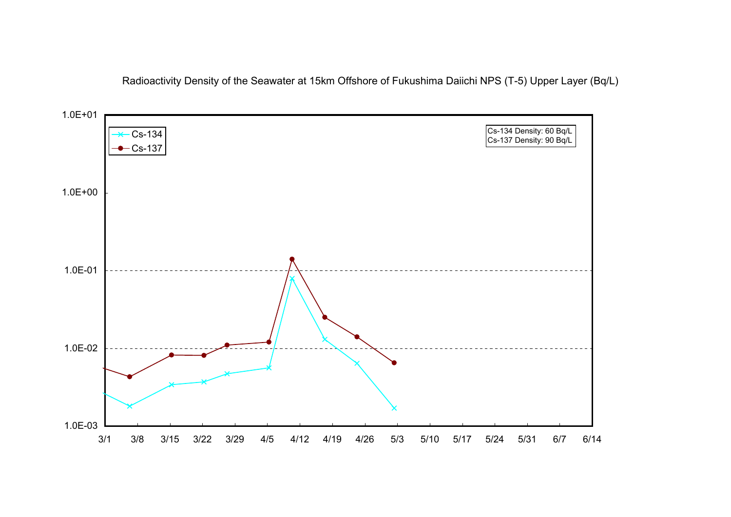Radioactivity Density of the Seawater at 15km Offshore of Fukushima Daiichi NPS (T-5) Upper Layer (Bq/L)

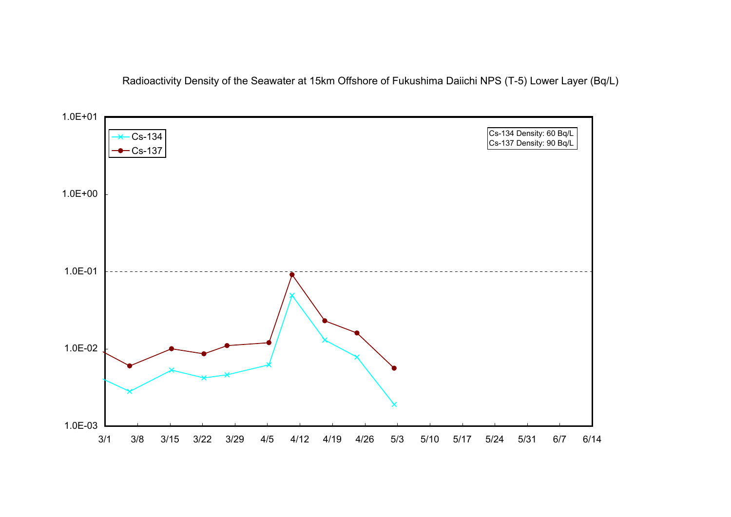Radioactivity Density of the Seawater at 15km Offshore of Fukushima Daiichi NPS (T-5) Lower Layer (Bq/L)

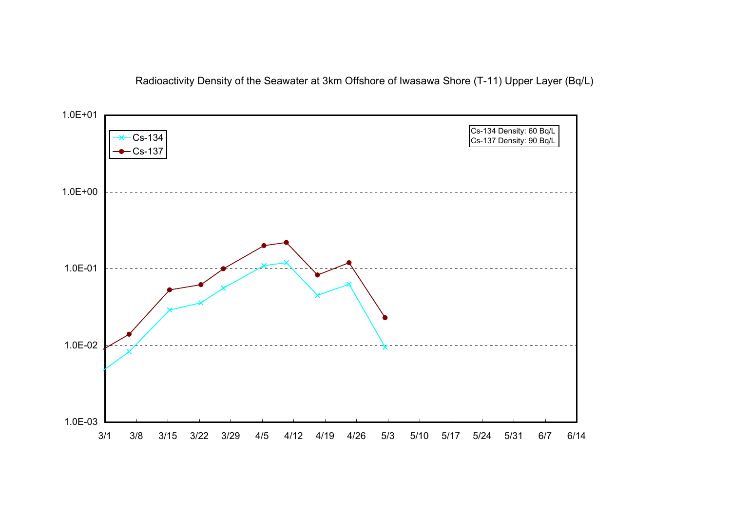Radioactivity Density of the Seawater at 3km Offshore of Iwasawa Shore (T-11) Upper Layer (Bq/L)